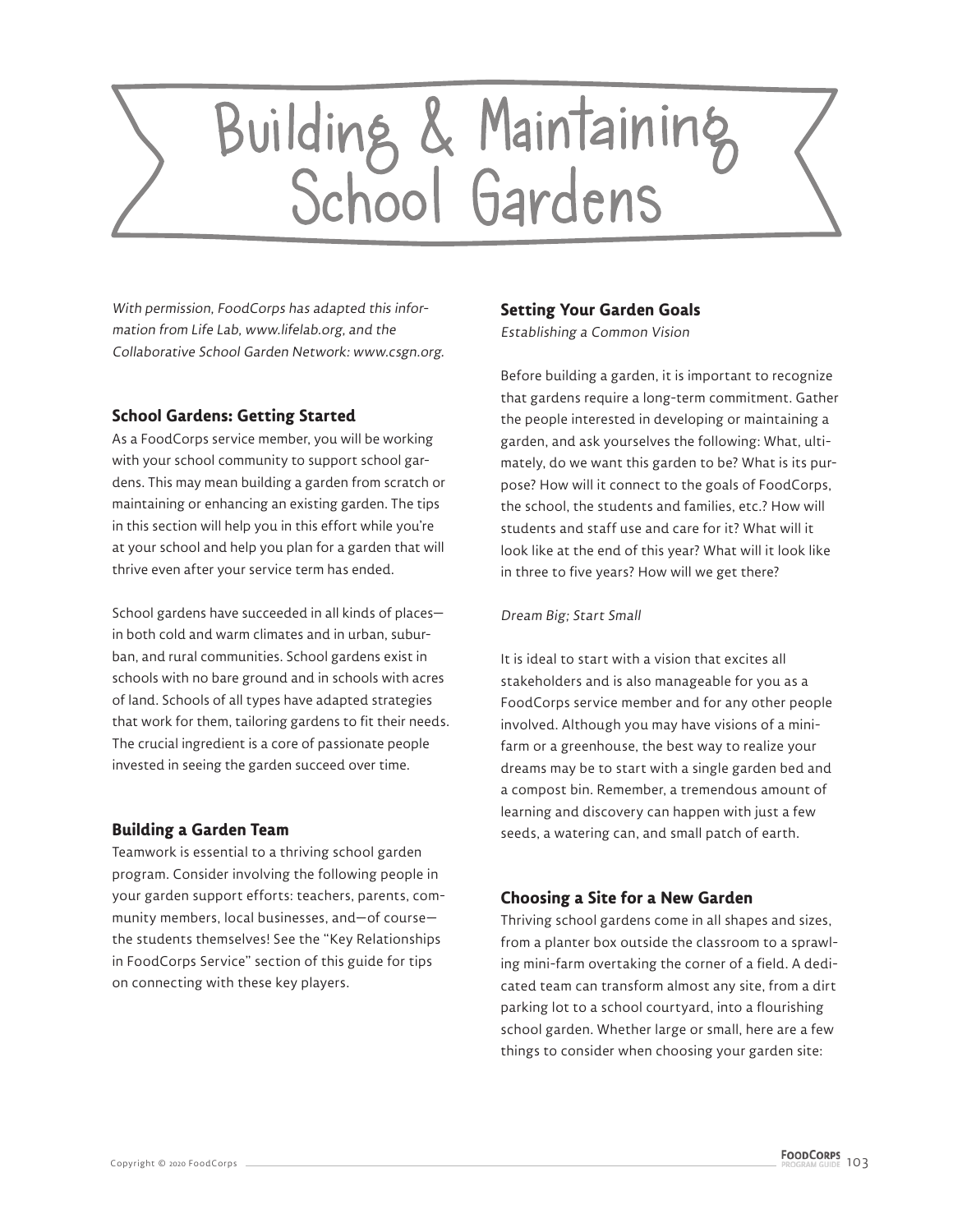# Building & Maintaining<br>School Gardens

With permission, FoodCorps has adapted this information from Life Lab, www.lifelab.org, and the Collaborative School Garden Network: www.csgn.org.

# **School Gardens: Getting Started**

As a FoodCorps service member, you will be working with your school community to support school gardens. This may mean building a garden from scratch or maintaining or enhancing an existing garden. The tips in this section will help you in this effort while you're at your school and help you plan for a garden that will thrive even after your service term has ended.

School gardens have succeeded in all kinds of places in both cold and warm climates and in urban, suburban, and rural communities. School gardens exist in schools with no bare ground and in schools with acres of land. Schools of all types have adapted strategies that work for them, tailoring gardens to fit their needs. The crucial ingredient is a core of passionate people invested in seeing the garden succeed over time.

# **Building a Garden Team**

Teamwork is essential to a thriving school garden program. Consider involving the following people in your garden support efforts: teachers, parents, community members, local businesses, and—of course the students themselves! See the "Key Relationships in FoodCorps Service" section of this guide for tips on connecting with these key players.

# **Setting Your Garden Goals**

Establishing a Common Vision

Before building a garden, it is important to recognize that gardens require a long-term commitment. Gather the people interested in developing or maintaining a garden, and ask yourselves the following: What, ultimately, do we want this garden to be? What is its purpose? How will it connect to the goals of FoodCorps, the school, the students and families, etc.? How will students and staff use and care for it? What will it look like at the end of this year? What will it look like in three to five years? How will we get there?

## Dream Big; Start Small

It is ideal to start with a vision that excites all stakeholders and is also manageable for you as a FoodCorps service member and for any other people involved. Although you may have visions of a minifarm or a greenhouse, the best way to realize your dreams may be to start with a single garden bed and a compost bin. Remember, a tremendous amount of learning and discovery can happen with just a few seeds, a watering can, and small patch of earth.

# **Choosing a Site for a New Garden**

Thriving school gardens come in all shapes and sizes, from a planter box outside the classroom to a sprawling mini-farm overtaking the corner of a field. A dedicated team can transform almost any site, from a dirt parking lot to a school courtyard, into a flourishing school garden. Whether large or small, here are a few things to consider when choosing your garden site: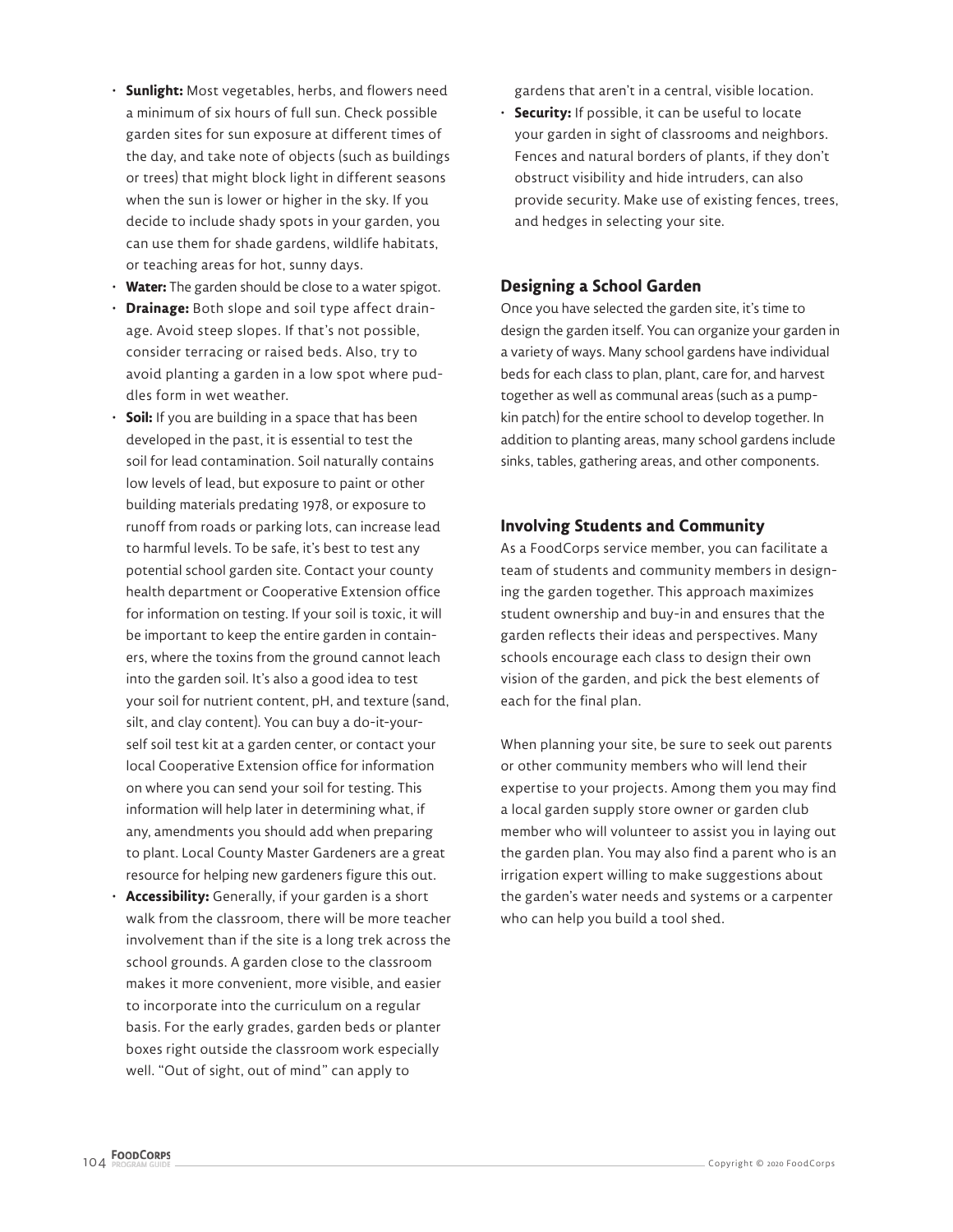- **Sunlight:** Most vegetables, herbs, and flowers need a minimum of six hours of full sun. Check possible garden sites for sun exposure at different times of the day, and take note of objects (such as buildings or trees) that might block light in different seasons when the sun is lower or higher in the sky. If you decide to include shady spots in your garden, you can use them for shade gardens, wildlife habitats, or teaching areas for hot, sunny days.
- **Water:** The garden should be close to a water spigot.
- **Drainage:** Both slope and soil type affect drainage. Avoid steep slopes. If that's not possible, consider terracing or raised beds. Also, try to avoid planting a garden in a low spot where puddles form in wet weather.
- **Soil:** If you are building in a space that has been developed in the past, it is essential to test the soil for lead contamination. Soil naturally contains low levels of lead, but exposure to paint or other building materials predating 1978, or exposure to runoff from roads or parking lots, can increase lead to harmful levels. To be safe, it's best to test any potential school garden site. Contact your county health department or Cooperative Extension office for information on testing. If your soil is toxic, it will be important to keep the entire garden in containers, where the toxins from the ground cannot leach into the garden soil. It's also a good idea to test your soil for nutrient content, pH, and texture (sand, silt, and clay content). You can buy a do-it-yourself soil test kit at a garden center, or contact your local Cooperative Extension office for information on where you can send your soil for testing. This information will help later in determining what, if any, amendments you should add when preparing to plant. Local County Master Gardeners are a great resource for helping new gardeners figure this out.
- **Accessibility:** Generally, if your garden is a short walk from the classroom, there will be more teacher involvement than if the site is a long trek across the school grounds. A garden close to the classroom makes it more convenient, more visible, and easier to incorporate into the curriculum on a regular basis. For the early grades, garden beds or planter boxes right outside the classroom work especially well. "Out of sight, out of mind" can apply to

gardens that aren't in a central, visible location.

• **Security:** If possible, it can be useful to locate your garden in sight of classrooms and neighbors. Fences and natural borders of plants, if they don't obstruct visibility and hide intruders, can also provide security. Make use of existing fences, trees, and hedges in selecting your site.

# **Designing a School Garden**

Once you have selected the garden site, it's time to design the garden itself. You can organize your garden in a variety of ways. Many school gardens have individual beds for each class to plan, plant, care for, and harvest together as well as communal areas (such as a pumpkin patch) for the entire school to develop together. In addition to planting areas, many school gardens include sinks, tables, gathering areas, and other components.

# **Involving Students and Community**

As a FoodCorps service member, you can facilitate a team of students and community members in designing the garden together. This approach maximizes student ownership and buy-in and ensures that the garden reflects their ideas and perspectives. Many schools encourage each class to design their own vision of the garden, and pick the best elements of each for the final plan.

When planning your site, be sure to seek out parents or other community members who will lend their expertise to your projects. Among them you may find a local garden supply store owner or garden club member who will volunteer to assist you in laying out the garden plan. You may also find a parent who is an irrigation expert willing to make suggestions about the garden's water needs and systems or a carpenter who can help you build a tool shed.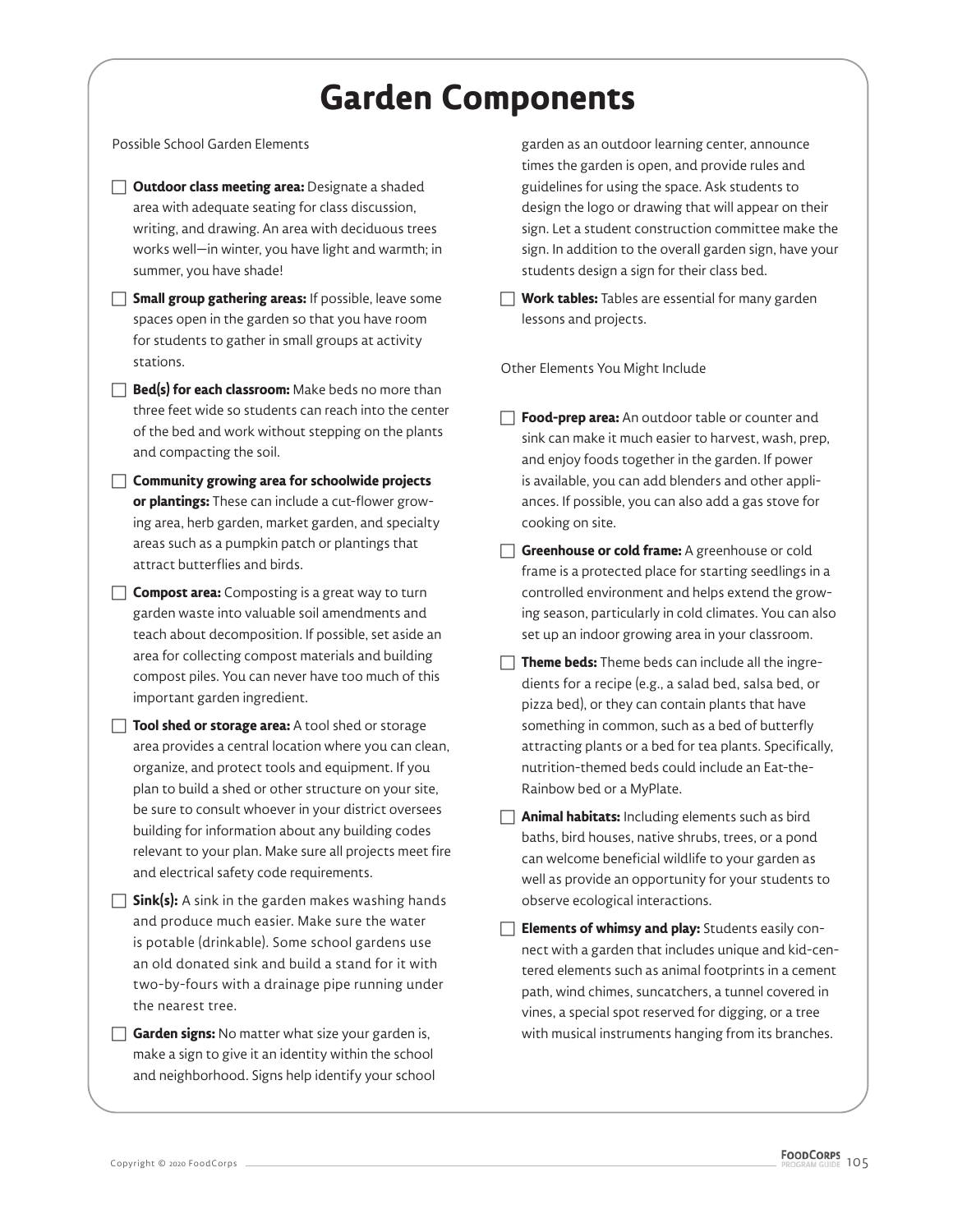# **Garden Components**

Possible School Garden Elements

- **T Outdoor class meeting area:** Designate a shaded area with adequate seating for class discussion, writing, and drawing. An area with deciduous trees works well—in winter, you have light and warmth; in summer, you have shade!
- **Small group gathering areas:** If possible, leave some spaces open in the garden so that you have room for students to gather in small groups at activity stations.
- $\Box$  **Bed(s) for each classroom:** Make beds no more than three feet wide so students can reach into the center of the bed and work without stepping on the plants and compacting the soil.
- **The Community growing area for schoolwide projects or plantings:** These can include a cut-flower growing area, herb garden, market garden, and specialty areas such as a pumpkin patch or plantings that attract butterflies and birds.
- $\Box$  **Compost area:** Composting is a great way to turn garden waste into valuable soil amendments and teach about decomposition. If possible, set aside an area for collecting compost materials and building compost piles. You can never have too much of this important garden ingredient.
- **Tool shed or storage area:** A tool shed or storage area provides a central location where you can clean, organize, and protect tools and equipment. If you plan to build a shed or other structure on your site, be sure to consult whoever in your district oversees building for information about any building codes relevant to your plan. Make sure all projects meet fire and electrical safety code requirements.
- $\Box$  **Sink(s):** A sink in the garden makes washing hands and produce much easier. Make sure the water is potable (drinkable). Some school gardens use an old donated sink and build a stand for it with two-by-fours with a drainage pipe running under the nearest tree.
- **Garden signs:** No matter what size your garden is, make a sign to give it an identity within the school and neighborhood. Signs help identify your school

garden as an outdoor learning center, announce times the garden is open, and provide rules and guidelines for using the space. Ask students to design the logo or drawing that will appear on their sign. Let a student construction committee make the sign. In addition to the overall garden sign, have your students design a sign for their class bed.

**Work tables:** Tables are essential for many garden lessons and projects.

Other Elements You Might Include

- **Food-prep area:** An outdoor table or counter and sink can make it much easier to harvest, wash, prep, and enjoy foods together in the garden. If power is available, you can add blenders and other appliances. If possible, you can also add a gas stove for cooking on site.
- **Greenhouse or cold frame:** A greenhouse or cold frame is a protected place for starting seedlings in a controlled environment and helps extend the growing season, particularly in cold climates. You can also set up an indoor growing area in your classroom.
- $\Box$  **Theme beds:** Theme beds can include all the ingredients for a recipe (e.g., a salad bed, salsa bed, or pizza bed), or they can contain plants that have something in common, such as a bed of butterfly attracting plants or a bed for tea plants. Specifically, nutrition-themed beds could include an Eat-the-Rainbow bed or a MyPlate.
- $\Box$  **Animal habitats:** Including elements such as bird baths, bird houses, native shrubs, trees, or a pond can welcome beneficial wildlife to your garden as well as provide an opportunity for your students to observe ecological interactions.
- **Fillements of whimsy and play:** Students easily connect with a garden that includes unique and kid-centered elements such as animal footprints in a cement path, wind chimes, suncatchers, a tunnel covered in vines, a special spot reserved for digging, or a tree with musical instruments hanging from its branches.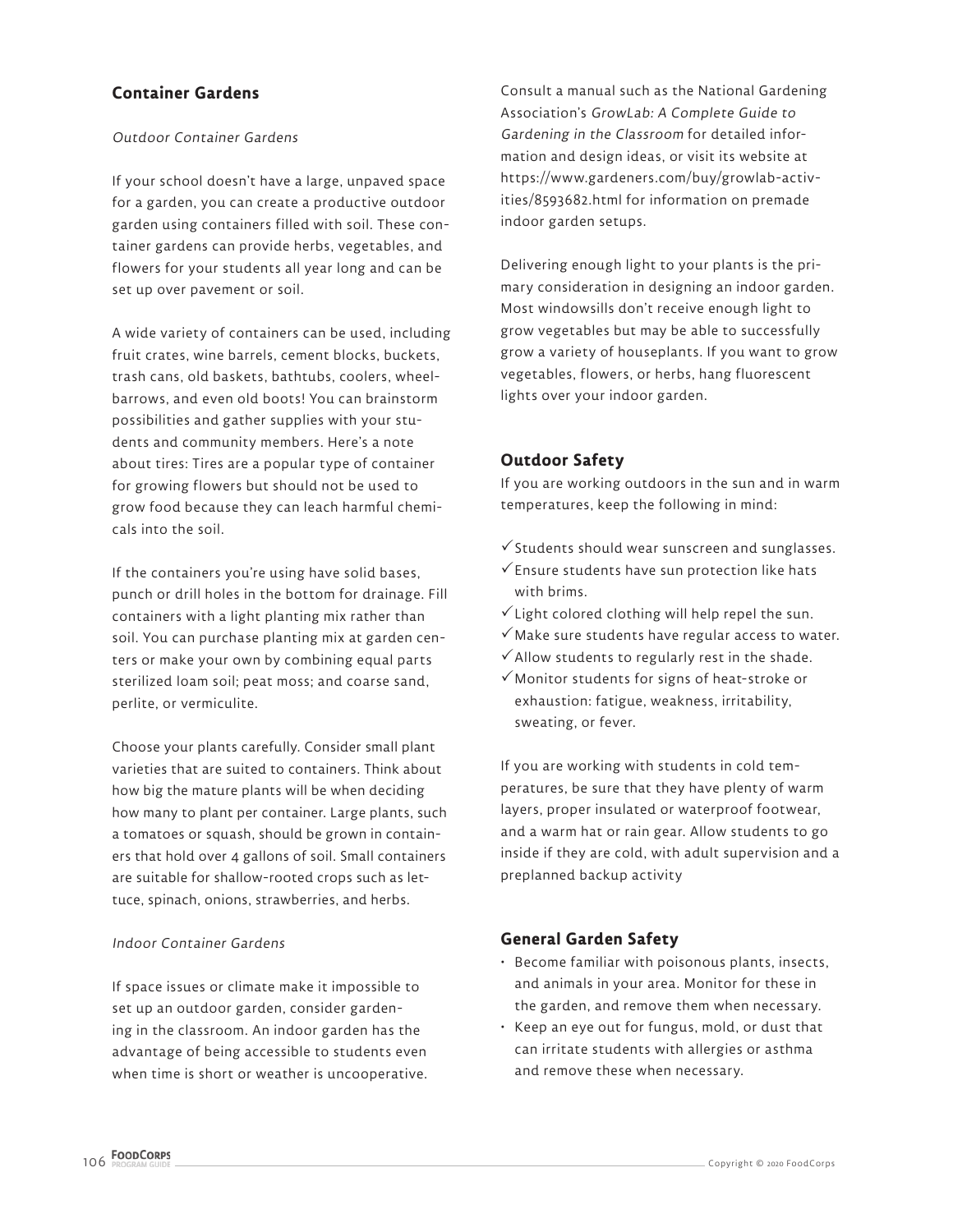# **Container Gardens**

#### Outdoor Container Gardens

If your school doesn't have a large, unpaved space for a garden, you can create a productive outdoor garden using containers filled with soil. These container gardens can provide herbs, vegetables, and flowers for your students all year long and can be set up over pavement or soil.

A wide variety of containers can be used, including fruit crates, wine barrels, cement blocks, buckets, trash cans, old baskets, bathtubs, coolers, wheelbarrows, and even old boots! You can brainstorm possibilities and gather supplies with your students and community members. Here's a note about tires: Tires are a popular type of container for growing flowers but should not be used to grow food because they can leach harmful chemicals into the soil.

If the containers you're using have solid bases, punch or drill holes in the bottom for drainage. Fill containers with a light planting mix rather than soil. You can purchase planting mix at garden centers or make your own by combining equal parts sterilized loam soil; peat moss; and coarse sand, perlite, or vermiculite.

Choose your plants carefully. Consider small plant varieties that are suited to containers. Think about how big the mature plants will be when deciding how many to plant per container. Large plants, such a tomatoes or squash, should be grown in containers that hold over 4 gallons of soil. Small containers are suitable for shallow-rooted crops such as lettuce, spinach, onions, strawberries, and herbs.

#### Indoor Container Gardens

If space issues or climate make it impossible to set up an outdoor garden, consider gardening in the classroom. An indoor garden has the advantage of being accessible to students even when time is short or weather is uncooperative. Consult a manual such as the National Gardening Association's GrowLab: A Complete Guide to Gardening in the Classroom for detailed information and design ideas, or visit its website at https://www.gardeners.com/buy/growlab-activities/8593682.html for information on premade indoor garden setups.

Delivering enough light to your plants is the primary consideration in designing an indoor garden. Most windowsills don't receive enough light to grow vegetables but may be able to successfully grow a variety of houseplants. If you want to grow vegetables, flowers, or herbs, hang fluorescent lights over your indoor garden.

# **Outdoor Safety**

If you are working outdoors in the sun and in warm temperatures, keep the following in mind:

- $\checkmark$  Students should wear sunscreen and sunglasses.
- $\checkmark$  Ensure students have sun protection like hats with brims.
- $\checkmark$  Light colored clothing will help repel the sun.
- $\checkmark$  Make sure students have regular access to water.
- $\checkmark$  Allow students to regularly rest in the shade.
- $\checkmark$  Monitor students for signs of heat-stroke or exhaustion: fatigue, weakness, irritability, sweating, or fever.

If you are working with students in cold temperatures, be sure that they have plenty of warm layers, proper insulated or waterproof footwear, and a warm hat or rain gear. Allow students to go inside if they are cold, with adult supervision and a preplanned backup activity

# **General Garden Safety**

- Become familiar with poisonous plants, insects, and animals in your area. Monitor for these in the garden, and remove them when necessary.
- Keep an eye out for fungus, mold, or dust that can irritate students with allergies or asthma and remove these when necessary.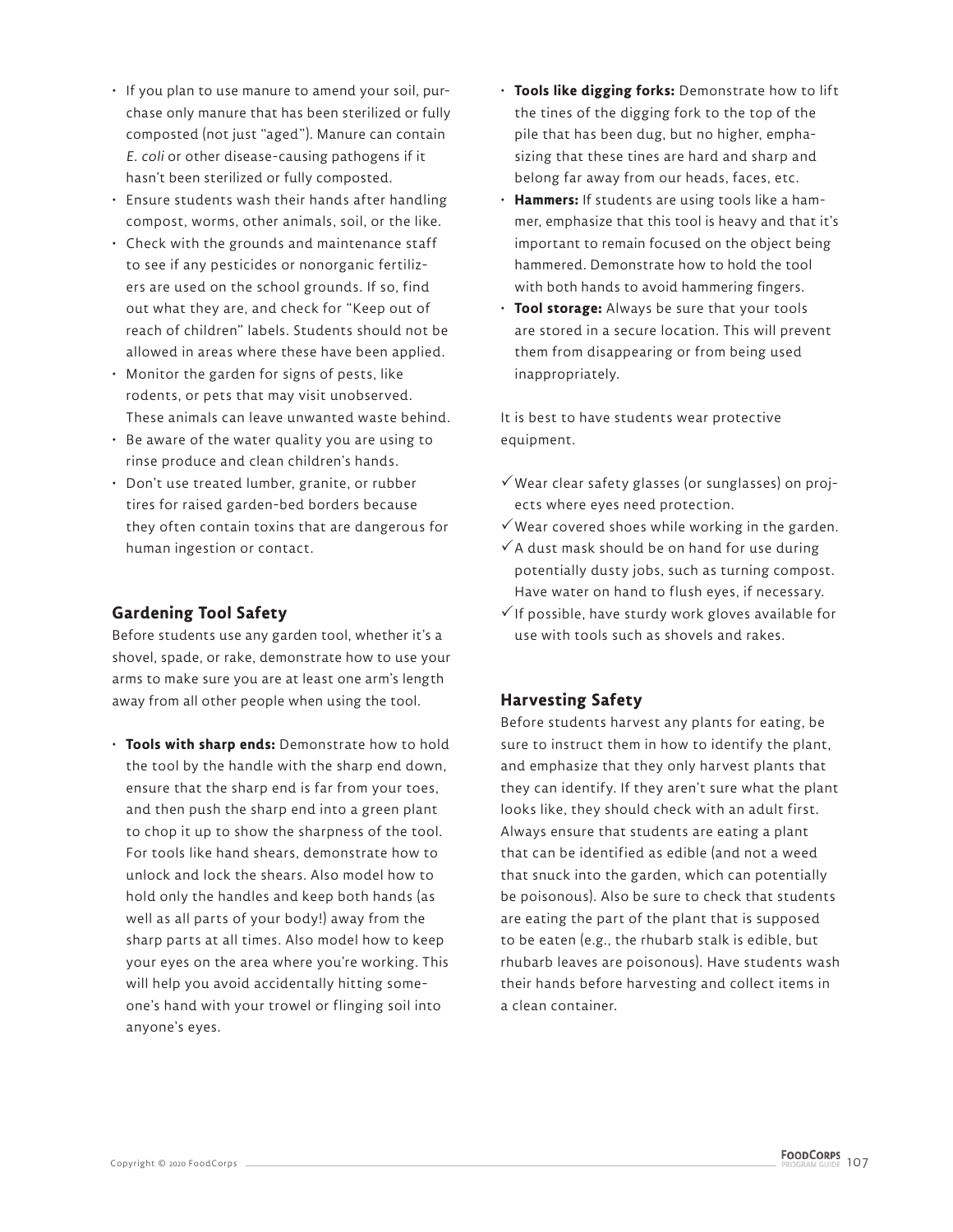- If you plan to use manure to amend your soil, purchase only manure that has been sterilized or fully composted (not just "aged"). Manure can contain E. coli or other disease-causing pathogens if it hasn't been sterilized or fully composted.
- Ensure students wash their hands after handling compost, worms, other animals, soil, or the like.
- Check with the grounds and maintenance staff to see if any pesticides or nonorganic fertilizers are used on the school grounds. If so, find out what they are, and check for "Keep out of reach of children" labels. Students should not be allowed in areas where these have been applied.
- Monitor the garden for signs of pests, like rodents, or pets that may visit unobserved. These animals can leave unwanted waste behind.
- Be aware of the water quality you are using to rinse produce and clean children's hands.
- Don't use treated lumber, granite, or rubber tires for raised garden-bed borders because they often contain toxins that are dangerous for human ingestion or contact.

# **Gardening Tool Safety**

Before students use any garden tool, whether it's a shovel, spade, or rake, demonstrate how to use your arms to make sure you are at least one arm's length away from all other people when using the tool.

• **Tools with sharp ends:** Demonstrate how to hold the tool by the handle with the sharp end down, ensure that the sharp end is far from your toes, and then push the sharp end into a green plant to chop it up to show the sharpness of the tool. For tools like hand shears, demonstrate how to unlock and lock the shears. Also model how to hold only the handles and keep both hands (as well as all parts of your body!) away from the sharp parts at all times. Also model how to keep your eyes on the area where you're working. This will help you avoid accidentally hitting someone's hand with your trowel or flinging soil into anyone's eyes.

- **Tools like digging forks:** Demonstrate how to lift the tines of the digging fork to the top of the pile that has been dug, but no higher, emphasizing that these tines are hard and sharp and belong far away from our heads, faces, etc.
- **Hammers:** If students are using tools like a hammer, emphasize that this tool is heavy and that it's important to remain focused on the object being hammered. Demonstrate how to hold the tool with both hands to avoid hammering fingers.
- **Tool storage:** Always be sure that your tools are stored in a secure location. This will prevent them from disappearing or from being used inappropriately.

It is best to have students wear protective equipment.

- $\checkmark$  Wear clear safety glasses (or sunglasses) on projects where eyes need protection.
- $\checkmark$  Wear covered shoes while working in the garden.
- $\checkmark$  A dust mask should be on hand for use during potentially dusty jobs, such as turning compost. Have water on hand to flush eyes, if necessary.
- $\checkmark$  If possible, have sturdy work gloves available for use with tools such as shovels and rakes.

# **Harvesting Safety**

Before students harvest any plants for eating, be sure to instruct them in how to identify the plant, and emphasize that they only harvest plants that they can identify. If they aren't sure what the plant looks like, they should check with an adult first. Always ensure that students are eating a plant that can be identified as edible (and not a weed that snuck into the garden, which can potentially be poisonous). Also be sure to check that students are eating the part of the plant that is supposed to be eaten (e.g., the rhubarb stalk is edible, but rhubarb leaves are poisonous). Have students wash their hands before harvesting and collect items in a clean container.